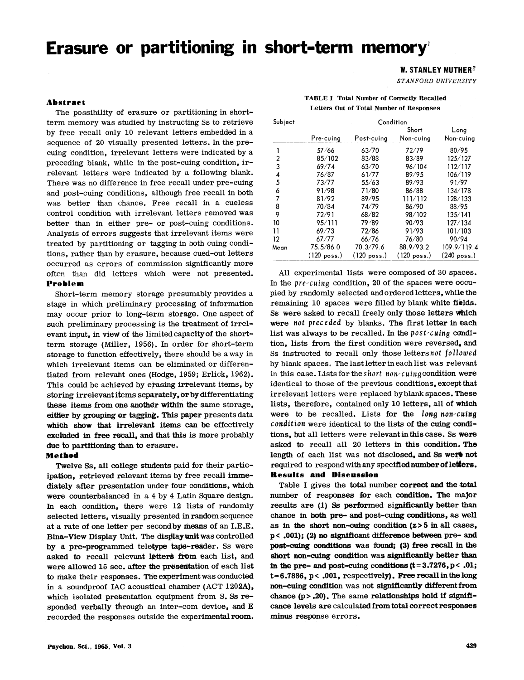# **Erasure or partitioning in short-term memory!**

# W. STANLEY MUTHER<sup>2</sup>

*STANFORD UNIVERSITY* 

TABLE I Total Number of Correctly Recalled Letters Out of Total Number of Responses

## Abstract

The possibility of erasure or partitioning in shortterm memory was studied by instructing Ss to retrieve by free recall only 10 relevant letters embedded in a sequence of 20 visually presented letters. In the precuing condition, irrelevant letters were indicated by a preceding blank, while in the post-cuing condition, irrelevant letters were indicated by a following blank. There was no difference in free recall under pre-cuing and post-cuing conditions, although free recall in both was better than chance. Free recall in a cueless control condition with irrelevant letters removed was better than in either pre- or post-cuing conditions. Analysis of errors suggests that irrelevant items were treated by partitioning or tagging in both cuing conditions, rather than by erasure, because cued-out letters occurred as errors of commission significantly more often than did letters which were not presented. Problem

Short-term memory storage presumably provides a stage in which preliminary processing of information may occur prior to long-term storage. One aspect of such preliminary processing is the treatment of irrelevant input, in view of the limited capacity of the shortterm storage (Miller, 1956). In order for short-term storage to function effectively, there should be a way in which irrelevant items can be eliminated or differentiated from relevant ones (Hodge, 1959; Erlick, 1962). This could be achieved by erasing irrelevant items, by storing irrelevant items separately, or by differentiating these items from one another within the same storage, either by grouping or tagging. This paper presents data which show that irrelevant items can be effectively excluded in free recall, and that this is more probably due to partitioning than to erasure.

## Method

Twelve Ss, all college students paid for their participation, retrieved relevant items by free recall immediately after presentation under four conditions, which were counterbalanced in a 4 by 4 Latin Square design. In each condition, there were 12 lists of randomly selected letters, visually presented in random sequence at a rate of one letter per second by means of an I.E.E. Bina-View Display Unit. The display unit was controlled by a pre-programmed teletype tape-reader. Ss were asked to recall relevant letters from each list, and were allowed 15 sec. after the presentation of each list to make their responses. The experiment was conducted in a soundproof lAC acoustical chamber (ACT 1202A), which isolated presentation equipment from S. Ss responded verbally through an inter-com device, and E recorded the responses outside the experimental room.

| Subject | Condition   |                       |                       |               |  |  |  |  |
|---------|-------------|-----------------------|-----------------------|---------------|--|--|--|--|
|         |             |                       | Short                 | Long          |  |  |  |  |
|         | Pre-cuing   | Post-cuing            | Non-cuing             | Non-cuing     |  |  |  |  |
|         | 57 / 66     | 63/70                 | 72/79                 | 80/95         |  |  |  |  |
| 2       | 85/102      | 83/88                 | 83/89                 | 125/127       |  |  |  |  |
| 3       | 69/74       | 63/70                 | 96/104                | 112/117       |  |  |  |  |
| 4       | 76/87       | 61/77                 | 89/95                 | 106/119       |  |  |  |  |
| 5       | 73/77       | 55/63                 | 89/93                 | 91/97         |  |  |  |  |
| 6       | 91/98       | 71/80                 | 86/88                 | 134/178       |  |  |  |  |
| 7       | 81/92       | 89/95                 | 111/112               | 128/133       |  |  |  |  |
| 8       | 70/84       | 74/79                 | 86/90                 | 88/95         |  |  |  |  |
| 9       | 72/91       | 68/82                 | 98/102                | 135/141       |  |  |  |  |
| 10      | 95/111      | 79/89                 | 90/93                 | 127/134       |  |  |  |  |
| 11      | 69/73       | 72/86                 | 91/93                 | 101/103       |  |  |  |  |
| 12      | 67/77       | 66/76                 | 76/80                 | 90/94         |  |  |  |  |
| Mean    | 75.5/86.0   | 70.3/79.6             | 88.9/93.2             | 109.9/119.4   |  |  |  |  |
|         | (120 poss.) | $(120 \text{ poss.})$ | $(120 \text{ poss.})$ | $(240$ poss.) |  |  |  |  |

All experimental lists were composed of 30 spaces. In the *pre -cuing* condition, 20 of the spaces were occupied by randomly selected and ordered letters, while the remaining 10 spaces were filled by blank white fields. Ss were asked to recall freely only those letters which were *not preceded* by blanks. The first letter in each list was always to be recalled. In the *post-cuing* condition, lists from the first condition were reversed. and Ss instructed to recall only those letters *not followed*  by blank spaces. The lastletter in each list was relevant in this case. Lists for the *short* non-cuingcondition were identical to those of the previous conditions, except that irrelevant letters were replaced by blank spaces. These lists, therefore, contained only 10 letters, all of which were to be recalled. Lists for the *long non-cuing condition* were identical to the lists of the cuing conditions, but all letters were relevant in this case. Ss were asked to recall all 20 letters in this condition. The length of each list was not disclosed, and Ss were not required to respond with any specified number of letters. **Results and Discussion** 

Table I gives the total number correct and the total number of responses for each condition. The major results are (1) Ss performed significantly better than chance in both pre- and post-cuing conditions, as well as in the short non-cuing condition  $(z > 5$  in all cases, p< .001); (2) no significant difference between pre- and post-cuing conditions was found; (3) free recall in the short non-cuing condition was significantly better than in the pre- and post-cuing conditions  $(t=3.7276, p< .01;$  $t=6.7886$ ,  $p<.001$ , respectively). Free recall in the long non-cuing condition was not significantly differentfrom chance  $(p > .20)$ . The same relationships hold if significance levels are calculated from total correct responses minus response errors.